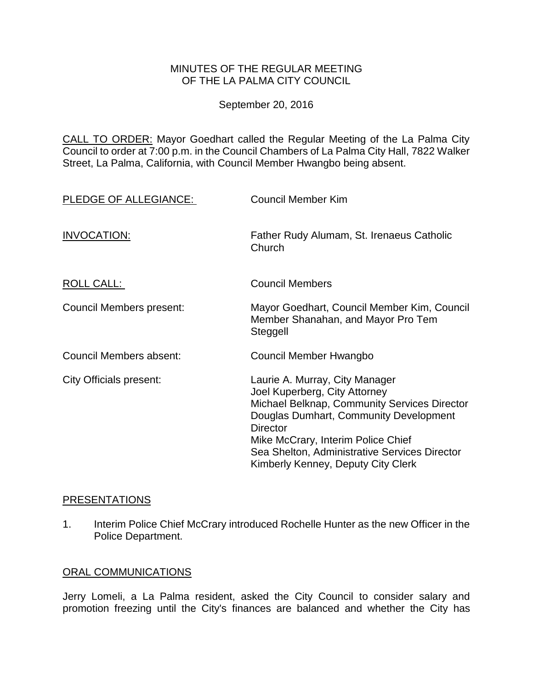### MINUTES OF THE REGULAR MEETING OF THE LA PALMA CITY COUNCIL

September 20, 2016

CALL TO ORDER: [Mayor Goedhart called the Regular Meeting of the La Palma City](http://lapalma.granicus.com/MediaPlayer.php?view_id=&clip_id=1034&meta_id=136239)  [Council to order at 7:00 p.m. in the Council Chambers of La Palma City Hall, 7822 Walker](http://lapalma.granicus.com/MediaPlayer.php?view_id=&clip_id=1034&meta_id=136239)  [Street, La Palma, California, with Council Member Hwangbo being absent.](http://lapalma.granicus.com/MediaPlayer.php?view_id=&clip_id=1034&meta_id=136239)

| PLEDGE OF ALLEGIANCE:    | <b>Council Member Kim</b>                                                                                                                                                                                                                                                                                 |
|--------------------------|-----------------------------------------------------------------------------------------------------------------------------------------------------------------------------------------------------------------------------------------------------------------------------------------------------------|
| INVOCATION:              | Father Rudy Alumam, St. Irenaeus Catholic<br>Church                                                                                                                                                                                                                                                       |
| ROLL CALL:               | <b>Council Members</b>                                                                                                                                                                                                                                                                                    |
| Council Members present: | Mayor Goedhart, Council Member Kim, Council<br>Member Shanahan, and Mayor Pro Tem<br>Steggell                                                                                                                                                                                                             |
| Council Members absent:  | Council Member Hwangbo                                                                                                                                                                                                                                                                                    |
| City Officials present:  | Laurie A. Murray, City Manager<br>Joel Kuperberg, City Attorney<br>Michael Belknap, Community Services Director<br>Douglas Dumhart, Community Development<br><b>Director</b><br>Mike McCrary, Interim Police Chief<br>Sea Shelton, Administrative Services Director<br>Kimberly Kenney, Deputy City Clerk |

#### **[PRESENTATIONS](http://lapalma.granicus.com/MediaPlayer.php?view_id=&clip_id=1034&meta_id=136243)**

1. [Interim Police Chief McCrary introduced Rochelle Hunter as the new Officer in the](http://lapalma.granicus.com/MediaPlayer.php?view_id=&clip_id=1034&meta_id=136244)  [Police Department.](http://lapalma.granicus.com/MediaPlayer.php?view_id=&clip_id=1034&meta_id=136244)

## [ORAL COMMUNICATIONS](http://lapalma.granicus.com/MediaPlayer.php?view_id=&clip_id=1034&meta_id=136245)

Jerry Lomeli, a La Palma resident, asked the City Council to consider salary and promotion freezing until the City's finances are balanced and whether the City has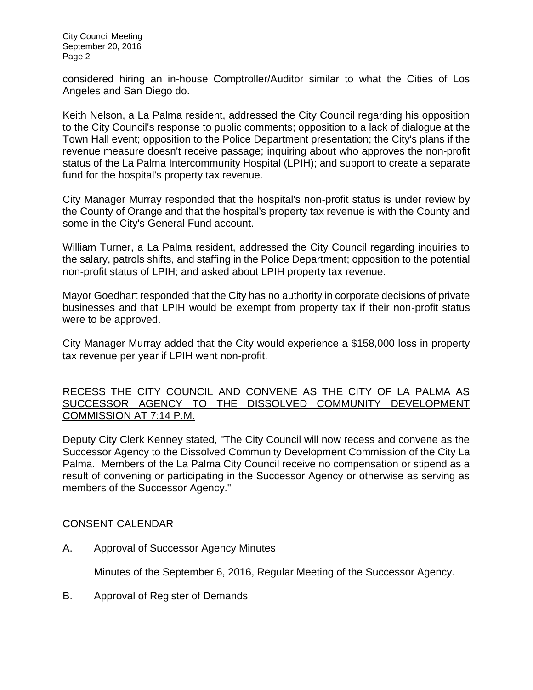City Council Meeting September 20, 2016 Page 2

considered hiring an in-house Comptroller/Auditor similar to what the Cities of Los Angeles and San Diego do.

Keith Nelson, a La Palma resident, addressed the City Council regarding his opposition to the City Council's response to public comments; opposition to a lack of dialogue at the Town Hall event; opposition to the Police Department presentation; the City's plans if the revenue measure doesn't receive passage; inquiring about who approves the non-profit status of the La Palma Intercommunity Hospital (LPIH); and support to create a separate fund for the hospital's property tax revenue.

City Manager Murray responded that the hospital's non-profit status is under review by the County of Orange and that the hospital's property tax revenue is with the County and some in the City's General Fund account.

William Turner, a La Palma resident, addressed the City Council regarding inquiries to the salary, patrols shifts, and staffing in the Police Department; opposition to the potential non-profit status of LPIH; and asked about LPIH property tax revenue.

Mayor Goedhart responded that the City has no authority in corporate decisions of private businesses and that LPIH would be exempt from property tax if their non-profit status were to be approved.

City Manager Murray added that the City would experience a \$158,000 loss in property tax revenue per year if LPIH went non-profit.

## [RECESS THE CITY COUNCIL AND CONVENE AS THE CITY OF LA PALMA AS](http://lapalma.granicus.com/MediaPlayer.php?view_id=&clip_id=1034&meta_id=136249)  [SUCCESSOR AGENCY TO THE DISSOLVED COMMUNITY DEVELOPMENT](http://lapalma.granicus.com/MediaPlayer.php?view_id=&clip_id=1034&meta_id=136249)  [COMMISSION AT](http://lapalma.granicus.com/MediaPlayer.php?view_id=&clip_id=1034&meta_id=136249) 7:14 P.M.

[Deputy City Clerk Kenney stated, "The City Council will now recess and convene as the](http://lapalma.granicus.com/MediaPlayer.php?view_id=&clip_id=1034&meta_id=136250)  [Successor Agency to the Dissolved Community Development Commission of the City La](http://lapalma.granicus.com/MediaPlayer.php?view_id=&clip_id=1034&meta_id=136250)  Palma. [Members of the La Palma City Council receive no compensation or stipend as a](http://lapalma.granicus.com/MediaPlayer.php?view_id=&clip_id=1034&meta_id=136250)  [result of convening or participating in the Successor Agency or otherwise as serving as](http://lapalma.granicus.com/MediaPlayer.php?view_id=&clip_id=1034&meta_id=136250)  [members of the Successor Agency."](http://lapalma.granicus.com/MediaPlayer.php?view_id=&clip_id=1034&meta_id=136250)

# [CONSENT CALENDAR](http://lapalma.granicus.com/MediaPlayer.php?view_id=&clip_id=1034&meta_id=136251)

A. Approval of Successor Agency Minutes

Minutes of the September 6, 2016, Regular Meeting of the Successor Agency.

B. Approval of Register of Demands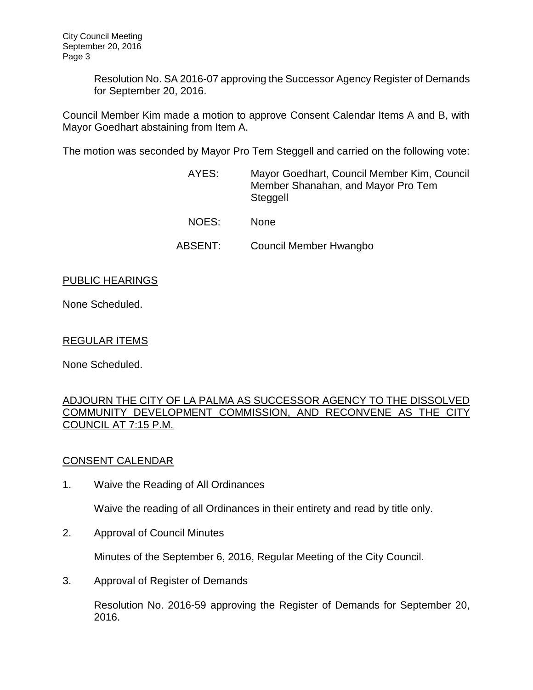Resolution No. SA 2016-07 approving the Successor Agency Register of Demands for September 20, 2016.

Council Member Kim made a motion to approve Consent Calendar Items A and B, with Mayor Goedhart abstaining from Item A.

The motion was seconded by Mayor Pro Tem Steggell and carried on the following vote:

| AYES:   | Mayor Goedhart, Council Member Kim, Council<br>Member Shanahan, and Mayor Pro Tem<br>Steggell |
|---------|-----------------------------------------------------------------------------------------------|
| NOES:   | <b>None</b>                                                                                   |
| ABSENT: | Council Member Hwangbo                                                                        |

### PUBLIC HEARINGS

None Scheduled.

### REGULAR ITEMS

None Scheduled.

#### [ADJOURN THE CITY OF LA PALMA AS SUCCESSOR AGENCY TO THE DISSOLVED](http://lapalma.granicus.com/MediaPlayer.php?view_id=&clip_id=1034&meta_id=136260)  [COMMUNITY DEVELOPMENT COMMISSION, AND RECONVENE AS THE CITY](http://lapalma.granicus.com/MediaPlayer.php?view_id=&clip_id=1034&meta_id=136260)  [COUNCIL AT 7:15 P.M.](http://lapalma.granicus.com/MediaPlayer.php?view_id=&clip_id=1034&meta_id=136260)

### [CONSENT CALENDAR](http://lapalma.granicus.com/MediaPlayer.php?view_id=&clip_id=1034&meta_id=136261)

1. Waive the Reading of All Ordinances

Waive the reading of all Ordinances in their entirety and read by title only.

2. Approval of Council Minutes

Minutes of the September 6, 2016, Regular Meeting of the City Council.

3. Approval of Register of Demands

Resolution No. 2016-59 approving the Register of Demands for September 20, 2016.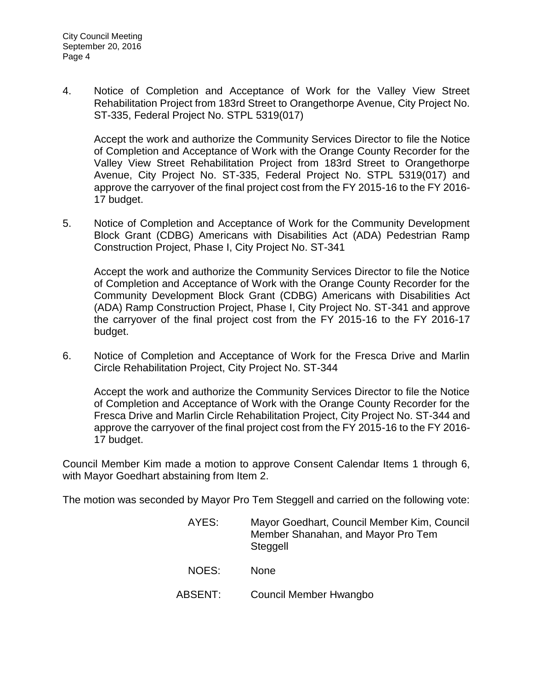4. Notice of Completion and Acceptance of Work for the Valley View Street Rehabilitation Project from 183rd Street to Orangethorpe Avenue, City Project No. ST-335, Federal Project No. STPL 5319(017)

Accept the work and authorize the Community Services Director to file the Notice of Completion and Acceptance of Work with the Orange County Recorder for the Valley View Street Rehabilitation Project from 183rd Street to Orangethorpe Avenue, City Project No. ST-335, Federal Project No. STPL 5319(017) and approve the carryover of the final project cost from the FY 2015-16 to the FY 2016- 17 budget.

5. Notice of Completion and Acceptance of Work for the Community Development Block Grant (CDBG) Americans with Disabilities Act (ADA) Pedestrian Ramp Construction Project, Phase I, City Project No. ST-341

Accept the work and authorize the Community Services Director to file the Notice of Completion and Acceptance of Work with the Orange County Recorder for the Community Development Block Grant (CDBG) Americans with Disabilities Act (ADA) Ramp Construction Project, Phase I, City Project No. ST-341 and approve the carryover of the final project cost from the FY 2015-16 to the FY 2016-17 budget.

6. Notice of Completion and Acceptance of Work for the Fresca Drive and Marlin Circle Rehabilitation Project, City Project No. ST-344

Accept the work and authorize the Community Services Director to file the Notice of Completion and Acceptance of Work with the Orange County Recorder for the Fresca Drive and Marlin Circle Rehabilitation Project, City Project No. ST-344 and approve the carryover of the final project cost from the FY 2015-16 to the FY 2016- 17 budget.

Council Member Kim made a motion to approve Consent Calendar Items 1 through 6, with Mayor Goedhart abstaining from Item 2.

The motion was seconded by Mayor Pro Tem Steggell and carried on the following vote:

| AYES:   | Mayor Goedhart, Council Member Kim, Council<br>Member Shanahan, and Mayor Pro Tem<br>Steggell |
|---------|-----------------------------------------------------------------------------------------------|
| NOES:   | <b>None</b>                                                                                   |
| ABSENT: | Council Member Hwangbo                                                                        |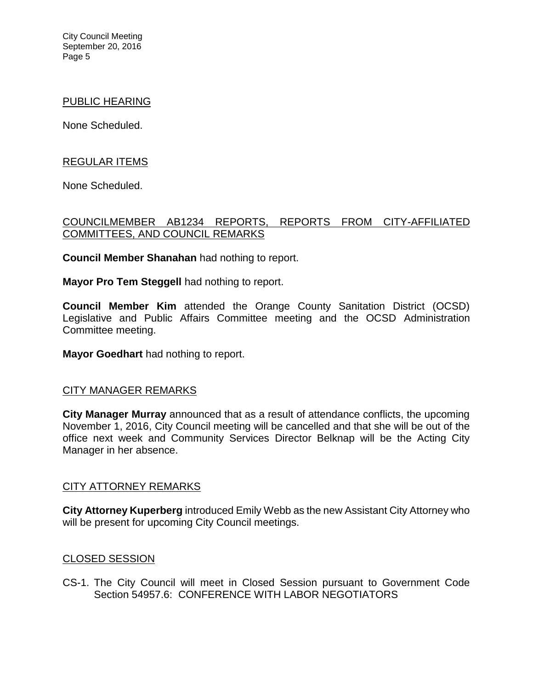City Council Meeting September 20, 2016 Page 5

#### PUBLIC HEARING

None Scheduled.

### REGULAR ITEMS

None Scheduled.

## [COUNCILMEMBER AB1234 REPORTS, REPORTS FROM CITY-AFFILIATED](http://lapalma.granicus.com/MediaPlayer.php?view_id=&clip_id=1034&meta_id=136278)  [COMMITTEES, AND COUNCIL REMARKS](http://lapalma.granicus.com/MediaPlayer.php?view_id=&clip_id=1034&meta_id=136278)

**Council Member Shanahan** had nothing to report.

**Mayor Pro Tem Steggell** had nothing to report.

**Council Member Kim** attended the Orange County Sanitation District (OCSD) Legislative and Public Affairs Committee meeting and the OCSD Administration Committee meeting.

**Mayor Goedhart** had nothing to report.

#### [CITY MANAGER REMARKS](http://lapalma.granicus.com/MediaPlayer.php?view_id=&clip_id=1034&meta_id=136283)

**City Manager Murray** announced that as a result of attendance conflicts, the upcoming November 1, 2016, City Council meeting will be cancelled and that she will be out of the office next week and Community Services Director Belknap will be the Acting City Manager in her absence.

#### [CITY ATTORNEY REMARKS](http://lapalma.granicus.com/MediaPlayer.php?view_id=&clip_id=1034&meta_id=136285)

**City Attorney Kuperberg** introduced Emily Webb as the new Assistant City Attorney who will be present for upcoming City Council meetings.

#### [CLOSED SESSION](http://lapalma.granicus.com/MediaPlayer.php?view_id=&clip_id=1034&meta_id=136287)

CS-1. [The City Council will meet in Closed Session pursuant to Government Code](http://lapalma.granicus.com/MediaPlayer.php?view_id=&clip_id=1034&meta_id=136288)  Section 54957.6: [CONFERENCE WITH LABOR NEGOTIATORS](http://lapalma.granicus.com/MediaPlayer.php?view_id=&clip_id=1034&meta_id=136288)